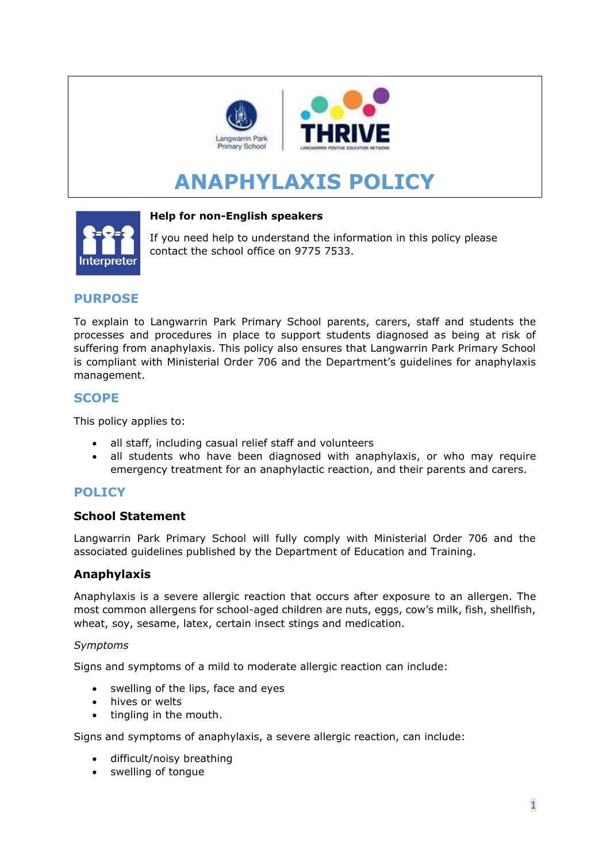

# **ANAPHYLAXIS POLICY**



#### **Help for non-English speakers**

If you need help to understand the information in this policy please contact the school office on 9775 7533.

# **PURPOSE**

To explain to Langwarrin Park Primary School parents, carers, staff and students the processes and procedures in place to support students diagnosed as being at risk of suffering from anaphylaxis. This policy also ensures that Langwarrin Park Primary School is compliant with Ministerial Order 706 and the Department's guidelines for anaphylaxis management.

## **SCOPE**

This policy applies to:

- all staff, including casual relief staff and volunteers
- all students who have been diagnosed with anaphylaxis, or who may require emergency treatment for an anaphylactic reaction, and their parents and carers.

## **POLICY**

#### **School Statement**

Langwarrin Park Primary School will fully comply with Ministerial Order 706 and the associated guidelines published by the Department of Education and Training.

## **Anaphylaxis**

Anaphylaxis is a severe allergic reaction that occurs after exposure to an allergen. The most common allergens for school-aged children are nuts, eggs, cow's milk, fish, shellfish, wheat, soy, sesame, latex, certain insect stings and medication.

#### *Symptoms*

Signs and symptoms of a mild to moderate allergic reaction can include:

- swelling of the lips, face and eyes
- hives or welts
- tingling in the mouth.

Signs and symptoms of anaphylaxis, a severe allergic reaction, can include:

- difficult/noisy breathing
- swelling of tongue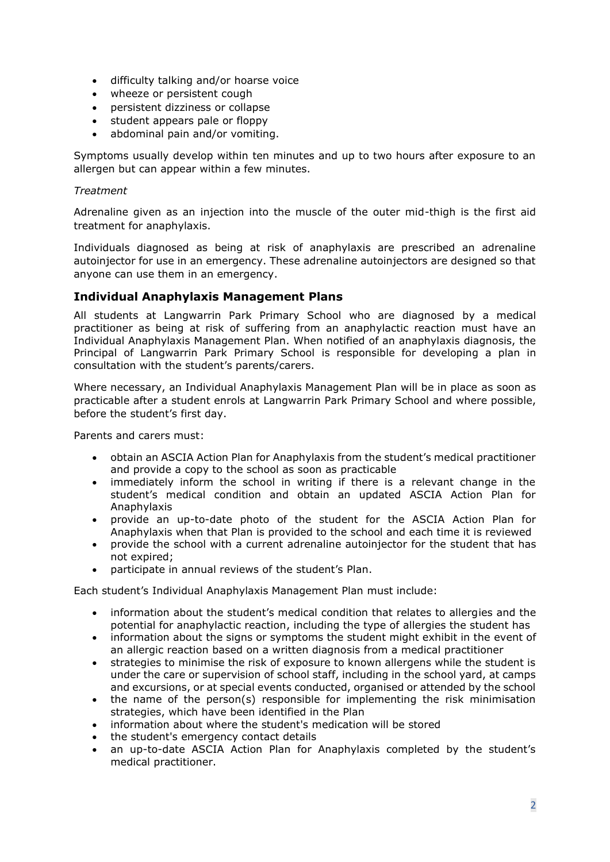- difficulty talking and/or hoarse voice
- wheeze or persistent cough
- persistent dizziness or collapse
- student appears pale or floppy
- abdominal pain and/or vomiting.

Symptoms usually develop within ten minutes and up to two hours after exposure to an allergen but can appear within a few minutes.

#### *Treatment*

Adrenaline given as an injection into the muscle of the outer mid-thigh is the first aid treatment for anaphylaxis.

Individuals diagnosed as being at risk of anaphylaxis are prescribed an adrenaline autoinjector for use in an emergency. These adrenaline autoinjectors are designed so that anyone can use them in an emergency.

## **Individual Anaphylaxis Management Plans**

All students at Langwarrin Park Primary School who are diagnosed by a medical practitioner as being at risk of suffering from an anaphylactic reaction must have an Individual Anaphylaxis Management Plan. When notified of an anaphylaxis diagnosis, the Principal of Langwarrin Park Primary School is responsible for developing a plan in consultation with the student's parents/carers.

Where necessary, an Individual Anaphylaxis Management Plan will be in place as soon as practicable after a student enrols at Langwarrin Park Primary School and where possible, before the student's first day.

Parents and carers must:

- obtain an ASCIA Action Plan for Anaphylaxis from the student's medical practitioner and provide a copy to the school as soon as practicable
- immediately inform the school in writing if there is a relevant change in the student's medical condition and obtain an updated ASCIA Action Plan for Anaphylaxis
- provide an up-to-date photo of the student for the ASCIA Action Plan for Anaphylaxis when that Plan is provided to the school and each time it is reviewed
- provide the school with a current adrenaline autoinjector for the student that has not expired;
- participate in annual reviews of the student's Plan.

Each student's Individual Anaphylaxis Management Plan must include:

- information about the student's medical condition that relates to allergies and the potential for anaphylactic reaction, including the type of allergies the student has
- information about the signs or symptoms the student might exhibit in the event of an allergic reaction based on a written diagnosis from a medical practitioner
- strategies to minimise the risk of exposure to known allergens while the student is under the care or supervision of school staff, including in the school yard, at camps and excursions, or at special events conducted, organised or attended by the school
- the name of the person(s) responsible for implementing the risk minimisation strategies, which have been identified in the Plan
- information about where the student's medication will be stored
- the student's emergency contact details
- an up-to-date ASCIA Action Plan for Anaphylaxis completed by the student's medical practitioner.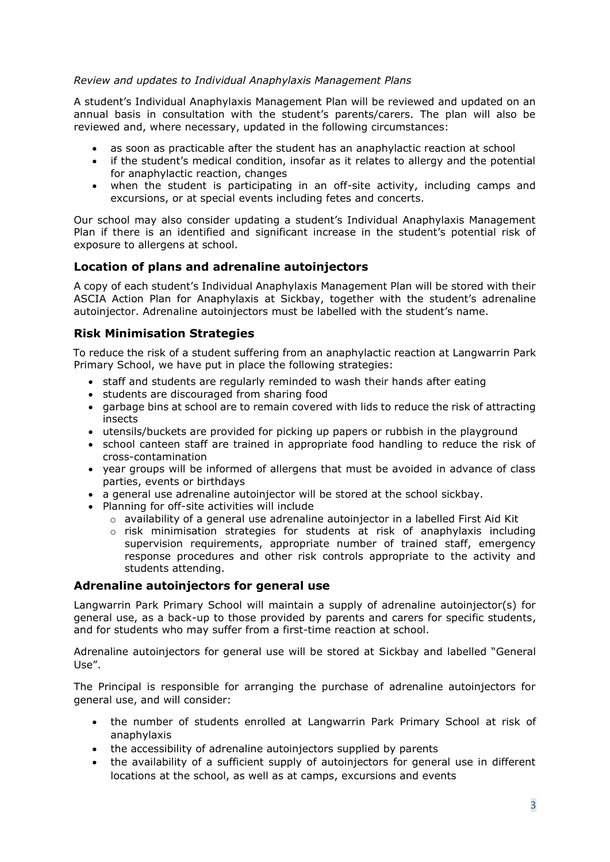#### *Review and updates to Individual Anaphylaxis Management Plans*

A student's Individual Anaphylaxis Management Plan will be reviewed and updated on an annual basis in consultation with the student's parents/carers. The plan will also be reviewed and, where necessary, updated in the following circumstances:

- as soon as practicable after the student has an anaphylactic reaction at school
- if the student's medical condition, insofar as it relates to allergy and the potential for anaphylactic reaction, changes
- when the student is participating in an off-site activity, including camps and excursions, or at special events including fetes and concerts.

Our school may also consider updating a student's Individual Anaphylaxis Management Plan if there is an identified and significant increase in the student's potential risk of exposure to allergens at school.

## **Location of plans and adrenaline autoinjectors**

A copy of each student's Individual Anaphylaxis Management Plan will be stored with their ASCIA Action Plan for Anaphylaxis at Sickbay, together with the student's adrenaline autoinjector. Adrenaline autoinjectors must be labelled with the student's name.

## **Risk Minimisation Strategies**

To reduce the risk of a student suffering from an anaphylactic reaction at Langwarrin Park Primary School, we have put in place the following strategies:

- staff and students are regularly reminded to wash their hands after eating
- students are discouraged from sharing food
- garbage bins at school are to remain covered with lids to reduce the risk of attracting insects
- utensils/buckets are provided for picking up papers or rubbish in the playground
- school canteen staff are trained in appropriate food handling to reduce the risk of cross-contamination
- year groups will be informed of allergens that must be avoided in advance of class parties, events or birthdays
- a general use adrenaline autoinjector will be stored at the school sickbay.
- Planning for off-site activities will include
	- $\circ$  availability of a general use adrenaline autoinjector in a labelled First Aid Kit
	- o risk minimisation strategies for students at risk of anaphylaxis including supervision requirements, appropriate number of trained staff, emergency response procedures and other risk controls appropriate to the activity and students attending.

## **Adrenaline autoinjectors for general use**

Langwarrin Park Primary School will maintain a supply of adrenaline autoinjector(s) for general use, as a back-up to those provided by parents and carers for specific students, and for students who may suffer from a first-time reaction at school.

Adrenaline autoinjectors for general use will be stored at Sickbay and labelled "General Use".

The Principal is responsible for arranging the purchase of adrenaline autoinjectors for general use, and will consider:

- the number of students enrolled at Langwarrin Park Primary School at risk of anaphylaxis
- the accessibility of adrenaline autoinjectors supplied by parents
- the availability of a sufficient supply of autoinjectors for general use in different locations at the school, as well as at camps, excursions and events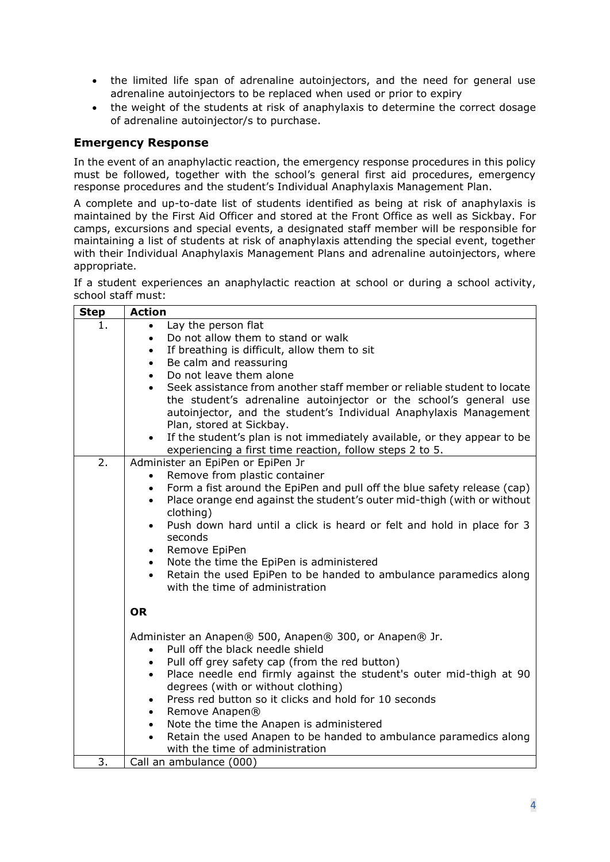- the limited life span of adrenaline autoinjectors, and the need for general use adrenaline autoinjectors to be replaced when used or prior to expiry
- the weight of the students at risk of anaphylaxis to determine the correct dosage of adrenaline autoinjector/s to purchase.

# **Emergency Response**

In the event of an anaphylactic reaction, the emergency response procedures in this policy must be followed, together with the school's general first aid procedures, emergency response procedures and the student's Individual Anaphylaxis Management Plan.

A complete and up-to-date list of students identified as being at risk of anaphylaxis is maintained by the First Aid Officer and stored at the Front Office as well as Sickbay. For camps, excursions and special events, a designated staff member will be responsible for maintaining a list of students at risk of anaphylaxis attending the special event, together with their Individual Anaphylaxis Management Plans and adrenaline autoinjectors, where appropriate.

If a student experiences an anaphylactic reaction at school or during a school activity, school staff must:

| <b>Step</b> | <b>Action</b>                                                                                                     |
|-------------|-------------------------------------------------------------------------------------------------------------------|
| 1.          | Lay the person flat                                                                                               |
|             | Do not allow them to stand or walk<br>$\bullet$                                                                   |
|             | If breathing is difficult, allow them to sit<br>$\bullet$                                                         |
|             | Be calm and reassuring<br>$\bullet$                                                                               |
|             | Do not leave them alone<br>$\bullet$                                                                              |
|             | Seek assistance from another staff member or reliable student to locate<br>$\bullet$                              |
|             | the student's adrenaline autoinjector or the school's general use                                                 |
|             | autoinjector, and the student's Individual Anaphylaxis Management                                                 |
|             | Plan, stored at Sickbay.                                                                                          |
|             | If the student's plan is not immediately available, or they appear to be<br>$\bullet$                             |
|             | experiencing a first time reaction, follow steps 2 to 5.                                                          |
| 2.          | Administer an EpiPen or EpiPen Jr                                                                                 |
|             | Remove from plastic container                                                                                     |
|             | Form a fist around the EpiPen and pull off the blue safety release (cap)<br>$\bullet$                             |
|             | Place orange end against the student's outer mid-thigh (with or without<br>$\bullet$                              |
|             | clothing)                                                                                                         |
|             | Push down hard until a click is heard or felt and hold in place for 3<br>$\bullet$                                |
|             | seconds                                                                                                           |
|             | Remove EpiPen<br>$\bullet$                                                                                        |
|             | Note the time the EpiPen is administered<br>$\bullet$                                                             |
|             | Retain the used EpiPen to be handed to ambulance paramedics along<br>$\bullet$<br>with the time of administration |
|             |                                                                                                                   |
|             | <b>OR</b>                                                                                                         |
|             |                                                                                                                   |
|             | Administer an Anapen® 500, Anapen® 300, or Anapen® Jr.                                                            |
|             | Pull off the black needle shield<br>$\bullet$                                                                     |
|             | Pull off grey safety cap (from the red button)<br>$\bullet$                                                       |
|             | Place needle end firmly against the student's outer mid-thigh at 90<br>$\bullet$                                  |
|             | degrees (with or without clothing)                                                                                |
|             | Press red button so it clicks and hold for 10 seconds<br>$\bullet$                                                |
|             | Remove Anapen®<br>$\bullet$                                                                                       |
|             | Note the time the Anapen is administered<br>$\bullet$                                                             |
|             | Retain the used Anapen to be handed to ambulance paramedics along<br>$\bullet$                                    |
|             | with the time of administration                                                                                   |
| 3.          | Call an ambulance (000)                                                                                           |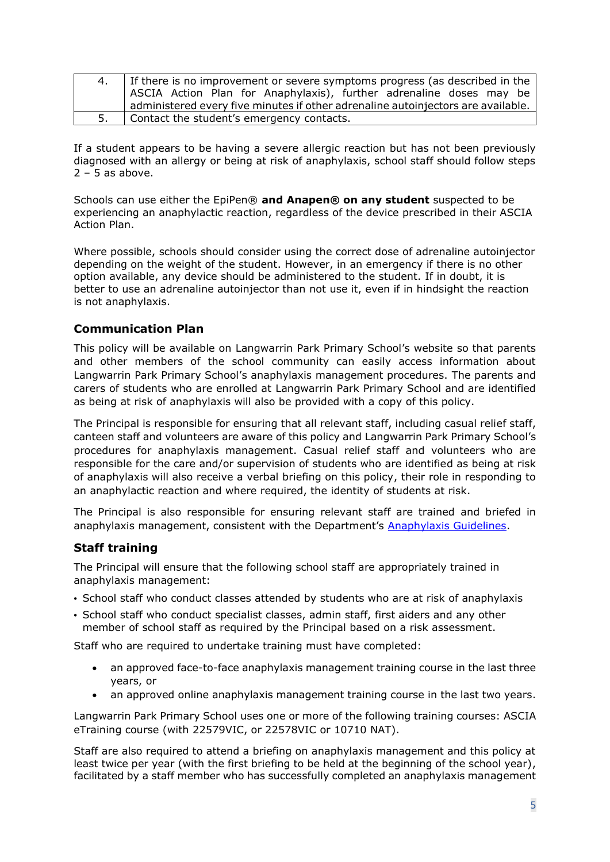| If there is no improvement or severe symptoms progress (as described in the      |
|----------------------------------------------------------------------------------|
| ASCIA Action Plan for Anaphylaxis), further adrenaline doses may be              |
| administered every five minutes if other adrenaline autoinjectors are available. |
| Contact the student's emergency contacts.                                        |

If a student appears to be having a severe allergic reaction but has not been previously diagnosed with an allergy or being at risk of anaphylaxis, school staff should follow steps  $2 - 5$  as above.

Schools can use either the EpiPen® **and Anapen® on any student** suspected to be experiencing an anaphylactic reaction, regardless of the device prescribed in their ASCIA Action Plan.

Where possible, schools should consider using the correct dose of adrenaline autoinjector depending on the weight of the student. However, in an emergency if there is no other option available, any device should be administered to the student. If in doubt, it is better to use an adrenaline autoinjector than not use it, even if in hindsight the reaction is not anaphylaxis.

## **Communication Plan**

This policy will be available on Langwarrin Park Primary School's website so that parents and other members of the school community can easily access information about Langwarrin Park Primary School's anaphylaxis management procedures. The parents and carers of students who are enrolled at Langwarrin Park Primary School and are identified as being at risk of anaphylaxis will also be provided with a copy of this policy.

The Principal is responsible for ensuring that all relevant staff, including casual relief staff, canteen staff and volunteers are aware of this policy and Langwarrin Park Primary School's procedures for anaphylaxis management. Casual relief staff and volunteers who are responsible for the care and/or supervision of students who are identified as being at risk of anaphylaxis will also receive a verbal briefing on this policy, their role in responding to an anaphylactic reaction and where required, the identity of students at risk.

The Principal is also responsible for ensuring relevant staff are trained and briefed in anaphylaxis management, consistent with the Department's [Anaphylaxis Guidelines.](https://www2.education.vic.gov.au/pal/anaphylaxis/guidance)

## **Staff training**

The Principal will ensure that the following school staff are appropriately trained in anaphylaxis management:

- School staff who conduct classes attended by students who are at risk of anaphylaxis
- School staff who conduct specialist classes, admin staff, first aiders and any other member of school staff as required by the Principal based on a risk assessment.

Staff who are required to undertake training must have completed:

- an approved face-to-face anaphylaxis management training course in the last three years, or
- an approved online anaphylaxis management training course in the last two years.

Langwarrin Park Primary School uses one or more of the following training courses: ASCIA eTraining course (with 22579VIC, or 22578VIC or 10710 NAT).

Staff are also required to attend a briefing on anaphylaxis management and this policy at least twice per year (with the first briefing to be held at the beginning of the school year), facilitated by a staff member who has successfully completed an anaphylaxis management